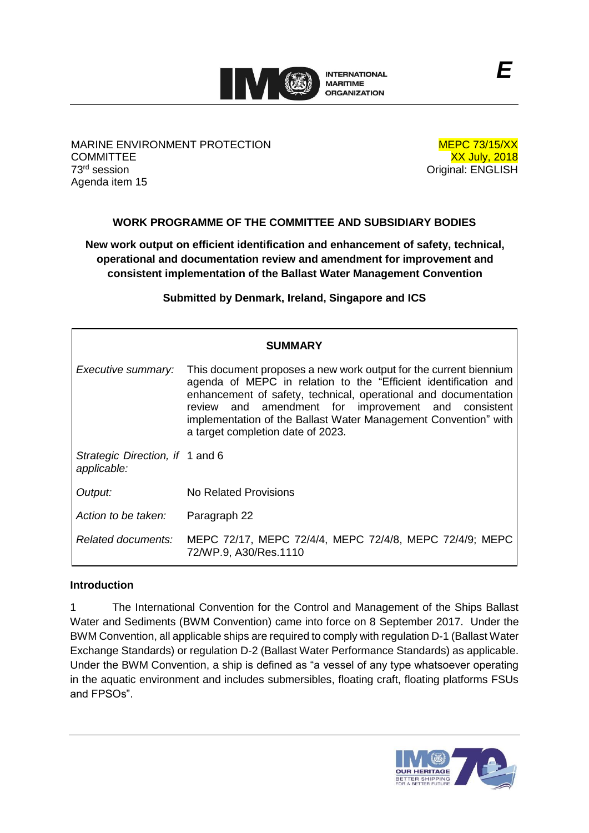

MARINE ENVIRONMENT PROTECTION **COMMITTEE** 73 rd session Agenda item 15

MEPC 73/15/XX XX July, 2018 Original: ENGLISH

# **WORK PROGRAMME OF THE COMMITTEE AND SUBSIDIARY BODIES**

**New work output on efficient identification and enhancement of safety, technical, operational and documentation review and amendment for improvement and consistent implementation of the Ballast Water Management Convention**

**Submitted by Denmark, Ireland, Singapore and ICS**

|                                                | <b>SUMMARY</b>                                                                                                                                                                                                                                                                                                                                                         |
|------------------------------------------------|------------------------------------------------------------------------------------------------------------------------------------------------------------------------------------------------------------------------------------------------------------------------------------------------------------------------------------------------------------------------|
| Executive summary:                             | This document proposes a new work output for the current biennium<br>agenda of MEPC in relation to the "Efficient identification and<br>enhancement of safety, technical, operational and documentation<br>review and amendment for improvement and consistent<br>implementation of the Ballast Water Management Convention" with<br>a target completion date of 2023. |
| Strategic Direction, if 1 and 6<br>applicable: |                                                                                                                                                                                                                                                                                                                                                                        |
| Output:                                        | <b>No Related Provisions</b>                                                                                                                                                                                                                                                                                                                                           |
| Action to be taken:                            | Paragraph 22                                                                                                                                                                                                                                                                                                                                                           |
| Related documents:                             | MEPC 72/17, MEPC 72/4/4, MEPC 72/4/8, MEPC 72/4/9; MEPC<br>72/WP.9, A30/Res.1110                                                                                                                                                                                                                                                                                       |

## **Introduction**

1 The International Convention for the Control and Management of the Ships Ballast Water and Sediments (BWM Convention) came into force on 8 September 2017. Under the BWM Convention, all applicable ships are required to comply with regulation D-1 (Ballast Water Exchange Standards) or regulation D-2 (Ballast Water Performance Standards) as applicable. Under the BWM Convention, a ship is defined as "a vessel of any type whatsoever operating in the aquatic environment and includes submersibles, floating craft, floating platforms FSUs and FPSOs".

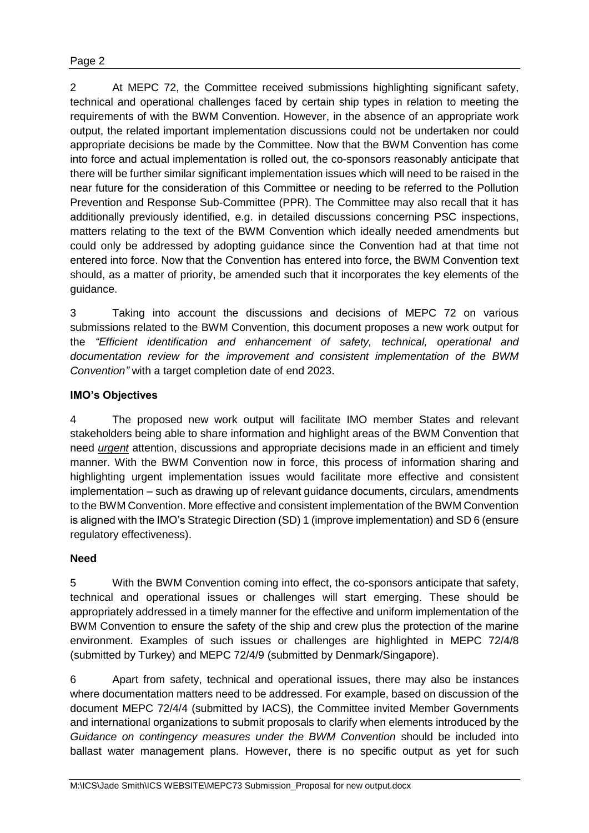2 At MEPC 72, the Committee received submissions highlighting significant safety, technical and operational challenges faced by certain ship types in relation to meeting the requirements of with the BWM Convention. However, in the absence of an appropriate work output, the related important implementation discussions could not be undertaken nor could appropriate decisions be made by the Committee. Now that the BWM Convention has come into force and actual implementation is rolled out, the co-sponsors reasonably anticipate that there will be further similar significant implementation issues which will need to be raised in the near future for the consideration of this Committee or needing to be referred to the Pollution Prevention and Response Sub-Committee (PPR). The Committee may also recall that it has additionally previously identified, e.g. in detailed discussions concerning PSC inspections, matters relating to the text of the BWM Convention which ideally needed amendments but could only be addressed by adopting guidance since the Convention had at that time not entered into force. Now that the Convention has entered into force, the BWM Convention text should, as a matter of priority, be amended such that it incorporates the key elements of the guidance.

3 Taking into account the discussions and decisions of MEPC 72 on various submissions related to the BWM Convention, this document proposes a new work output for the *"Efficient identification and enhancement of safety, technical, operational and documentation review for the improvement and consistent implementation of the BWM Convention"* with a target completion date of end 2023.

# **IMO's Objectives**

4 The proposed new work output will facilitate IMO member States and relevant stakeholders being able to share information and highlight areas of the BWM Convention that need *urgent* attention, discussions and appropriate decisions made in an efficient and timely manner. With the BWM Convention now in force, this process of information sharing and highlighting urgent implementation issues would facilitate more effective and consistent implementation – such as drawing up of relevant guidance documents, circulars, amendments to the BWM Convention. More effective and consistent implementation of the BWM Convention is aligned with the IMO's Strategic Direction (SD) 1 (improve implementation) and SD 6 (ensure regulatory effectiveness).

# **Need**

5 With the BWM Convention coming into effect, the co-sponsors anticipate that safety, technical and operational issues or challenges will start emerging. These should be appropriately addressed in a timely manner for the effective and uniform implementation of the BWM Convention to ensure the safety of the ship and crew plus the protection of the marine environment. Examples of such issues or challenges are highlighted in MEPC 72/4/8 (submitted by Turkey) and MEPC 72/4/9 (submitted by Denmark/Singapore).

6 Apart from safety, technical and operational issues, there may also be instances where documentation matters need to be addressed. For example, based on discussion of the document MEPC 72/4/4 (submitted by IACS), the Committee invited Member Governments and international organizations to submit proposals to clarify when elements introduced by the *Guidance on contingency measures under the BWM Convention* should be included into ballast water management plans. However, there is no specific output as yet for such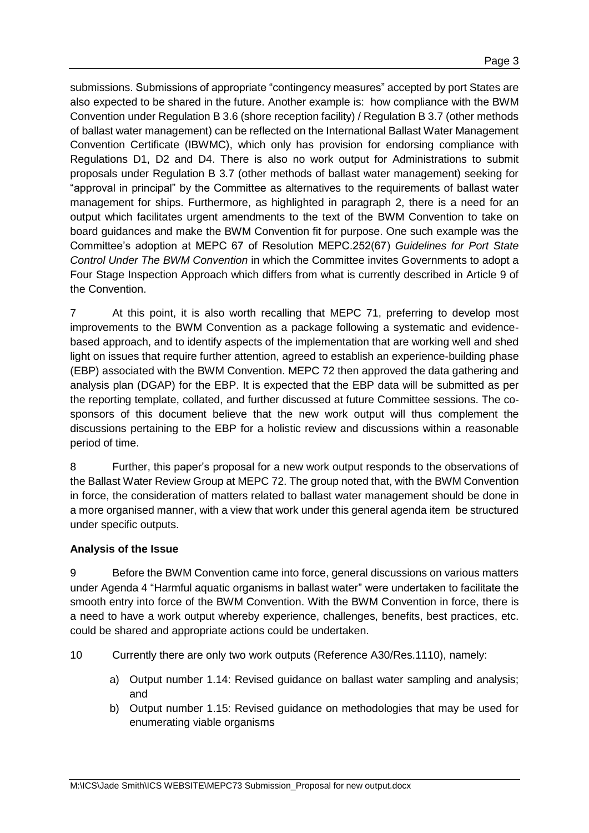submissions. Submissions of appropriate "contingency measures" accepted by port States are also expected to be shared in the future. Another example is: how compliance with the BWM Convention under Regulation B 3.6 (shore reception facility) / Regulation B 3.7 (other methods of ballast water management) can be reflected on the International Ballast Water Management Convention Certificate (IBWMC), which only has provision for endorsing compliance with Regulations D1, D2 and D4. There is also no work output for Administrations to submit proposals under Regulation B 3.7 (other methods of ballast water management) seeking for "approval in principal" by the Committee as alternatives to the requirements of ballast water management for ships. Furthermore, as highlighted in paragraph 2, there is a need for an output which facilitates urgent amendments to the text of the BWM Convention to take on board guidances and make the BWM Convention fit for purpose. One such example was the Committee's adoption at MEPC 67 of Resolution MEPC.252(67) *Guidelines for Port State Control Under The BWM Convention* in which the Committee invites Governments to adopt a Four Stage Inspection Approach which differs from what is currently described in Article 9 of the Convention.

7 At this point, it is also worth recalling that MEPC 71, preferring to develop most improvements to the BWM Convention as a package following a systematic and evidencebased approach, and to identify aspects of the implementation that are working well and shed light on issues that require further attention, agreed to establish an experience-building phase (EBP) associated with the BWM Convention. MEPC 72 then approved the data gathering and analysis plan (DGAP) for the EBP. It is expected that the EBP data will be submitted as per the reporting template, collated, and further discussed at future Committee sessions. The cosponsors of this document believe that the new work output will thus complement the discussions pertaining to the EBP for a holistic review and discussions within a reasonable period of time.

8 Further, this paper's proposal for a new work output responds to the observations of the Ballast Water Review Group at MEPC 72. The group noted that, with the BWM Convention in force, the consideration of matters related to ballast water management should be done in a more organised manner, with a view that work under this general agenda item be structured under specific outputs.

### **Analysis of the Issue**

9 Before the BWM Convention came into force, general discussions on various matters under Agenda 4 "Harmful aquatic organisms in ballast water" were undertaken to facilitate the smooth entry into force of the BWM Convention. With the BWM Convention in force, there is a need to have a work output whereby experience, challenges, benefits, best practices, etc. could be shared and appropriate actions could be undertaken.

- 10 Currently there are only two work outputs (Reference A30/Res.1110), namely:
	- a) Output number 1.14: Revised guidance on ballast water sampling and analysis; and
	- b) Output number 1.15: Revised guidance on methodologies that may be used for enumerating viable organisms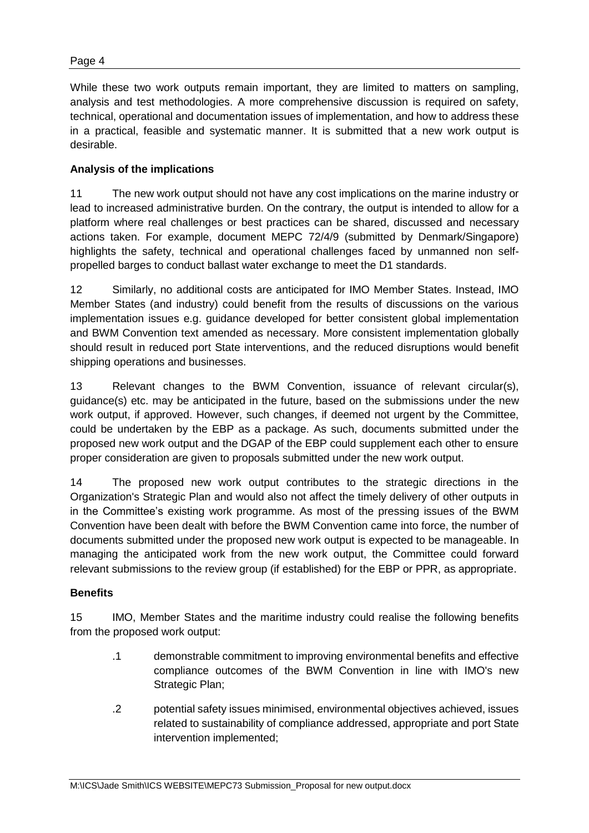While these two work outputs remain important, they are limited to matters on sampling, analysis and test methodologies. A more comprehensive discussion is required on safety, technical, operational and documentation issues of implementation, and how to address these in a practical, feasible and systematic manner. It is submitted that a new work output is desirable.

# **Analysis of the implications**

11 The new work output should not have any cost implications on the marine industry or lead to increased administrative burden. On the contrary, the output is intended to allow for a platform where real challenges or best practices can be shared, discussed and necessary actions taken. For example, document MEPC 72/4/9 (submitted by Denmark/Singapore) highlights the safety, technical and operational challenges faced by unmanned non selfpropelled barges to conduct ballast water exchange to meet the D1 standards.

12 Similarly, no additional costs are anticipated for IMO Member States. Instead, IMO Member States (and industry) could benefit from the results of discussions on the various implementation issues e.g. guidance developed for better consistent global implementation and BWM Convention text amended as necessary. More consistent implementation globally should result in reduced port State interventions, and the reduced disruptions would benefit shipping operations and businesses.

13 Relevant changes to the BWM Convention, issuance of relevant circular(s), guidance(s) etc. may be anticipated in the future, based on the submissions under the new work output, if approved. However, such changes, if deemed not urgent by the Committee, could be undertaken by the EBP as a package. As such, documents submitted under the proposed new work output and the DGAP of the EBP could supplement each other to ensure proper consideration are given to proposals submitted under the new work output.

14 The proposed new work output contributes to the strategic directions in the Organization's Strategic Plan and would also not affect the timely delivery of other outputs in in the Committee's existing work programme. As most of the pressing issues of the BWM Convention have been dealt with before the BWM Convention came into force, the number of documents submitted under the proposed new work output is expected to be manageable. In managing the anticipated work from the new work output, the Committee could forward relevant submissions to the review group (if established) for the EBP or PPR, as appropriate.

### **Benefits**

15 IMO, Member States and the maritime industry could realise the following benefits from the proposed work output:

- .1 demonstrable commitment to improving environmental benefits and effective compliance outcomes of the BWM Convention in line with IMO's new Strategic Plan;
- .2 potential safety issues minimised, environmental objectives achieved, issues related to sustainability of compliance addressed, appropriate and port State intervention implemented;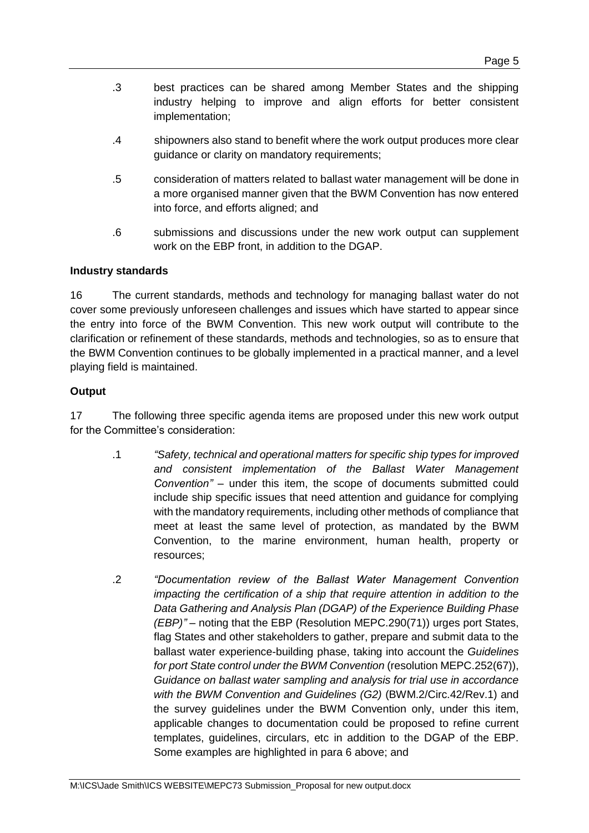- .3 best practices can be shared among Member States and the shipping industry helping to improve and align efforts for better consistent implementation;
- .4 shipowners also stand to benefit where the work output produces more clear guidance or clarity on mandatory requirements;
- .5 consideration of matters related to ballast water management will be done in a more organised manner given that the BWM Convention has now entered into force, and efforts aligned; and
- .6 submissions and discussions under the new work output can supplement work on the EBP front, in addition to the DGAP.

## **Industry standards**

16 The current standards, methods and technology for managing ballast water do not cover some previously unforeseen challenges and issues which have started to appear since the entry into force of the BWM Convention. This new work output will contribute to the clarification or refinement of these standards, methods and technologies, so as to ensure that the BWM Convention continues to be globally implemented in a practical manner, and a level playing field is maintained.

# **Output**

17 The following three specific agenda items are proposed under this new work output for the Committee's consideration:

- .1 *"Safety, technical and operational matters for specific ship types for improved and consistent implementation of the Ballast Water Management Convention"* – under this item, the scope of documents submitted could include ship specific issues that need attention and guidance for complying with the mandatory requirements, including other methods of compliance that meet at least the same level of protection, as mandated by the BWM Convention, to the marine environment, human health, property or resources;
- .2 *"Documentation review of the Ballast Water Management Convention impacting the certification of a ship that require attention in addition to the Data Gathering and Analysis Plan (DGAP) of the Experience Building Phase (EBP)"* – noting that the EBP (Resolution MEPC.290(71)) urges port States, flag States and other stakeholders to gather, prepare and submit data to the ballast water experience-building phase, taking into account the *Guidelines for port State control under the BWM Convention* (resolution MEPC.252(67)), *Guidance on ballast water sampling and analysis for trial use in accordance with the BWM Convention and Guidelines (G2)* (BWM.2/Circ.42/Rev.1) and the survey guidelines under the BWM Convention only, under this item, applicable changes to documentation could be proposed to refine current templates, guidelines, circulars, etc in addition to the DGAP of the EBP. Some examples are highlighted in para 6 above; and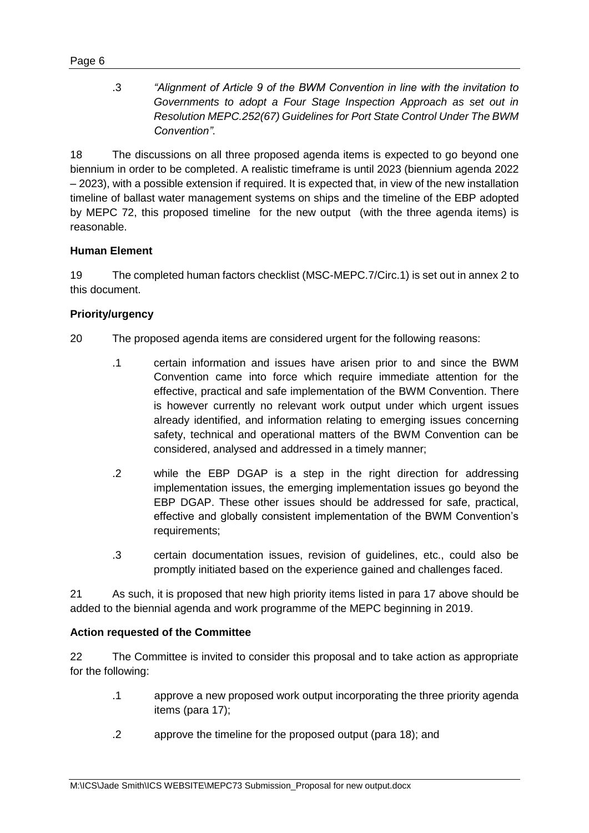.3 *"Alignment of Article 9 of the BWM Convention in line with the invitation to Governments to adopt a Four Stage Inspection Approach as set out in Resolution MEPC.252(67) Guidelines for Port State Control Under The BWM Convention"*.

18 The discussions on all three proposed agenda items is expected to go beyond one biennium in order to be completed. A realistic timeframe is until 2023 (biennium agenda 2022 – 2023), with a possible extension if required. It is expected that, in view of the new installation timeline of ballast water management systems on ships and the timeline of the EBP adopted by MEPC 72, this proposed timeline for the new output (with the three agenda items) is reasonable.

## **Human Element**

19 The completed human factors checklist (MSC-MEPC.7/Circ.1) is set out in annex 2 to this document.

## **Priority/urgency**

- 20 The proposed agenda items are considered urgent for the following reasons:
	- .1 certain information and issues have arisen prior to and since the BWM Convention came into force which require immediate attention for the effective, practical and safe implementation of the BWM Convention. There is however currently no relevant work output under which urgent issues already identified, and information relating to emerging issues concerning safety, technical and operational matters of the BWM Convention can be considered, analysed and addressed in a timely manner;
	- .2 while the EBP DGAP is a step in the right direction for addressing implementation issues, the emerging implementation issues go beyond the EBP DGAP. These other issues should be addressed for safe, practical, effective and globally consistent implementation of the BWM Convention's requirements;
	- .3 certain documentation issues, revision of guidelines, etc., could also be promptly initiated based on the experience gained and challenges faced.

21 As such, it is proposed that new high priority items listed in para 17 above should be added to the biennial agenda and work programme of the MEPC beginning in 2019.

### **Action requested of the Committee**

22 The Committee is invited to consider this proposal and to take action as appropriate for the following:

- .1 approve a new proposed work output incorporating the three priority agenda items (para 17);
- .2 approve the timeline for the proposed output (para 18); and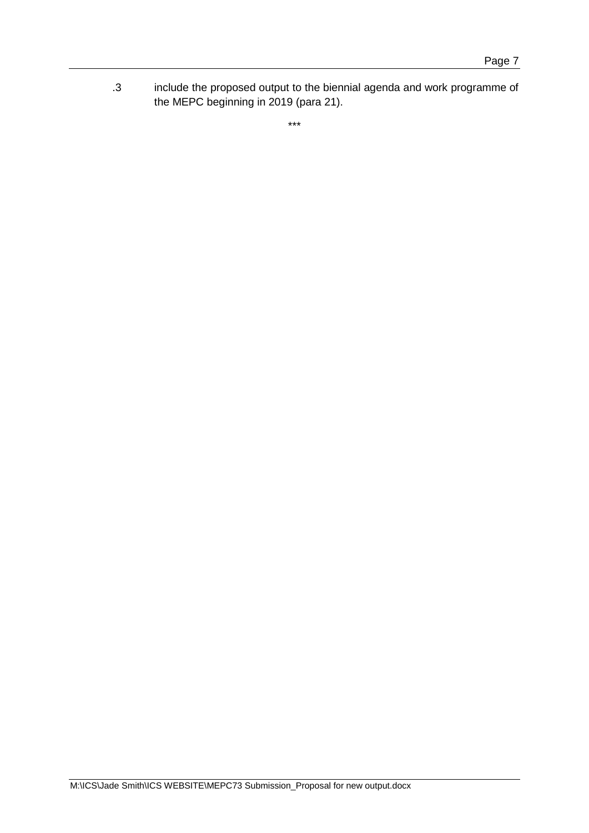.3 include the proposed output to the biennial agenda and work programme of the MEPC beginning in 2019 (para 21).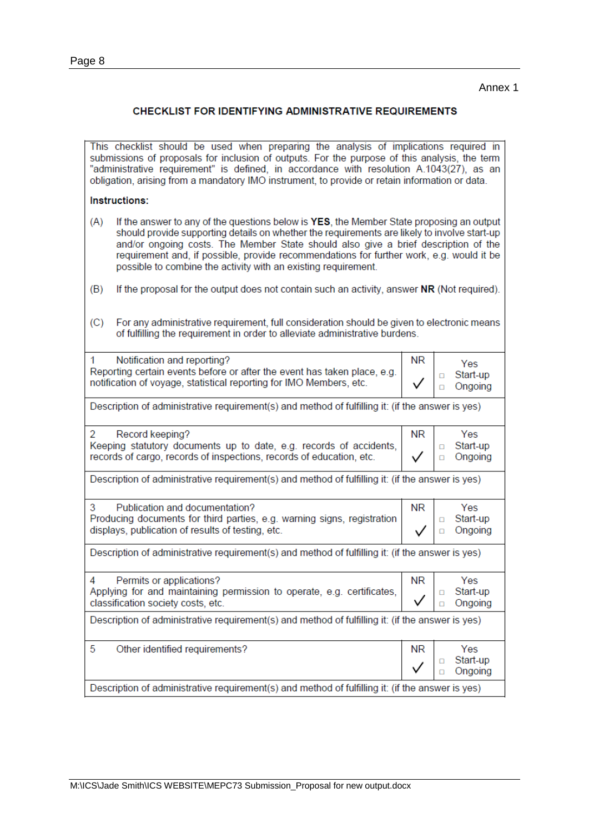#### **CHECKLIST FOR IDENTIFYING ADMINISTRATIVE REQUIREMENTS**

This checklist should be used when preparing the analysis of implications required in submissions of proposals for inclusion of outputs. For the purpose of this analysis, the term "administrative requirement" is defined, in accordance with resolution A.1043(27), as an obligation, arising from a mandatory IMO instrument, to provide or retain information or data.

#### Instructions:

- If the answer to any of the questions below is YES, the Member State proposing an output  $(A)$ should provide supporting details on whether the requirements are likely to involve start-up and/or ongoing costs. The Member State should also give a brief description of the requirement and, if possible, provide recommendations for further work, e.g. would it be possible to combine the activity with an existing requirement.
- $(B)$ If the proposal for the output does not contain such an activity, answer NR (Not required).
- $(C)$ For any administrative requirement, full consideration should be given to electronic means of fulfilling the requirement in order to alleviate administrative burdens.

| 1<br>Notification and reporting?<br>Reporting certain events before or after the event has taken place, e.g.<br>notification of voyage, statistical reporting for IMO Members, etc. | NR        | Yes<br>Start-up<br>Ω<br>Ongoing<br>п      |  |  |
|-------------------------------------------------------------------------------------------------------------------------------------------------------------------------------------|-----------|-------------------------------------------|--|--|
| Description of administrative requirement(s) and method of fulfilling it: (if the answer is yes)                                                                                    |           |                                           |  |  |
| 2<br>Record keeping?<br>Keeping statutory documents up to date, e.g. records of accidents,<br>records of cargo, records of inspections, records of education, etc.                  | <b>NR</b> | Yes<br>Start-up<br>$\Box$<br>Ongoing<br>п |  |  |
| Description of administrative requirement(s) and method of fulfilling it: (if the answer is yes)                                                                                    |           |                                           |  |  |
| 3<br>Publication and documentation?<br>Producing documents for third parties, e.g. warning signs, registration<br>displays, publication of results of testing, etc.                 | NR        | Yes.<br>Start-up<br>Ω<br>Ongoing<br>п     |  |  |
| Description of administrative requirement(s) and method of fulfilling it: (if the answer is yes)                                                                                    |           |                                           |  |  |
| Permits or applications?<br>4<br>Applying for and maintaining permission to operate, e.g. certificates,<br>classification society costs, etc.                                       |           | Yes<br>Start-up<br>п<br>Ongoing           |  |  |
| Description of administrative requirement(s) and method of fulfilling it: (if the answer is yes)                                                                                    |           |                                           |  |  |
| 5<br>Other identified requirements?                                                                                                                                                 | ΝR        | Yes<br>Start-up<br>п<br>Ongoing           |  |  |
| Description of administrative requirement(s) and method of fulfilling it: (if the answer is yes)                                                                                    |           |                                           |  |  |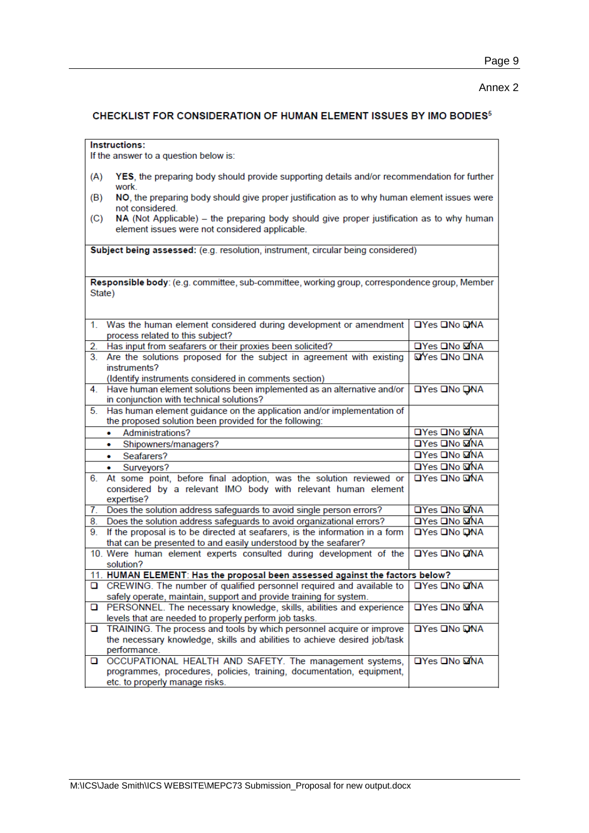#### Annex 2

#### CHECKLIST FOR CONSIDERATION OF HUMAN ELEMENT ISSUES BY IMO BODIES<sup>5</sup>

Instructions:

If the answer to a question below is:

- YES, the preparing body should provide supporting details and/or recommendation for further  $(A)$ work.
- NO, the preparing body should give proper justification as to why human element issues were  $(B)$ not considered.
- $(C)$ NA (Not Applicable) – the preparing body should give proper justification as to why human element issues were not considered applicable.

Subject being assessed: (e.g. resolution, instrument, circular being considered)

Responsible body: (e.g. committee, sub-committee, working group, correspondence group, Member State)

| 1 <sup>1</sup> | Was the human element considered during development or amendment<br>process related to this subject? | <b>OYes ONO DNA</b>        |
|----------------|------------------------------------------------------------------------------------------------------|----------------------------|
| 2.             | Has input from seafarers or their proxies been solicited?                                            | <b>OYes ONo ØNA</b>        |
| 3.             | Are the solutions proposed for the subject in agreement with existing                                | MYes ONo ONA               |
|                | instruments?                                                                                         |                            |
|                | (Identify instruments considered in comments section)                                                |                            |
| 4.             | Have human element solutions been implemented as an alternative and/or                               | <b>OYes ONo QNA</b>        |
|                | in conjunction with technical solutions?                                                             |                            |
| 5.             | Has human element guidance on the application and/or implementation of                               |                            |
|                | the proposed solution been provided for the following:                                               |                            |
|                | Administrations?<br>٠                                                                                | □Yes □No ØNA               |
|                | Shipowners/managers?<br>٠                                                                            | <b>OYes ONO MNA</b>        |
|                | Seafarers?<br>٠                                                                                      | □Yes □No MNA               |
|                | Surveyors?<br>$\bullet$                                                                              | <b>OYes</b> ONo <b>QNA</b> |
| 6.             | At some point, before final adoption, was the solution reviewed or                                   | <b>□Yes □No ⊡NA</b>        |
|                | considered by a relevant IMO body with relevant human element                                        |                            |
|                | expertise?                                                                                           |                            |
| 7.             | Does the solution address safeguards to avoid single person errors?                                  | <b>OYes ONO MANA</b>       |
| 8.             | Does the solution address safeguards to avoid organizational errors?                                 | <b>OYes ONo MONA</b>       |
| 9.             | If the proposal is to be directed at seafarers, is the information in a form                         | <b>□Yes □No QNA</b>        |
|                | that can be presented to and easily understood by the seafarer?                                      |                            |
|                | 10. Were human element experts consulted during development of the                                   | <b>OYes ONo DINA</b>       |
|                | solution?                                                                                            |                            |
|                | 11. HUMAN ELEMENT: Has the proposal been assessed against the factors below?                         |                            |
| o.             | CREWING. The number of qualified personnel required and available to                                 | <b>OYes ONo DONA</b>       |
|                | safely operate, maintain, support and provide training for system.                                   |                            |
| o              | PERSONNEL. The necessary knowledge, skills, abilities and experience                                 | <b>OYes ONO DINA</b>       |
|                | levels that are needed to properly perform job tasks.                                                |                            |
| o              | TRAINING. The process and tools by which personnel acquire or improve                                | <b>OYes ONo ONA</b>        |
|                | the necessary knowledge, skills and abilities to achieve desired job/task                            |                            |
|                | performance.                                                                                         |                            |
| o              | OCCUPATIONAL HEALTH AND SAFETY. The management systems,                                              | <b>OYes ONo DINA</b>       |
|                | programmes, procedures, policies, training, documentation, equipment,                                |                            |
|                | etc. to properly manage risks.                                                                       |                            |